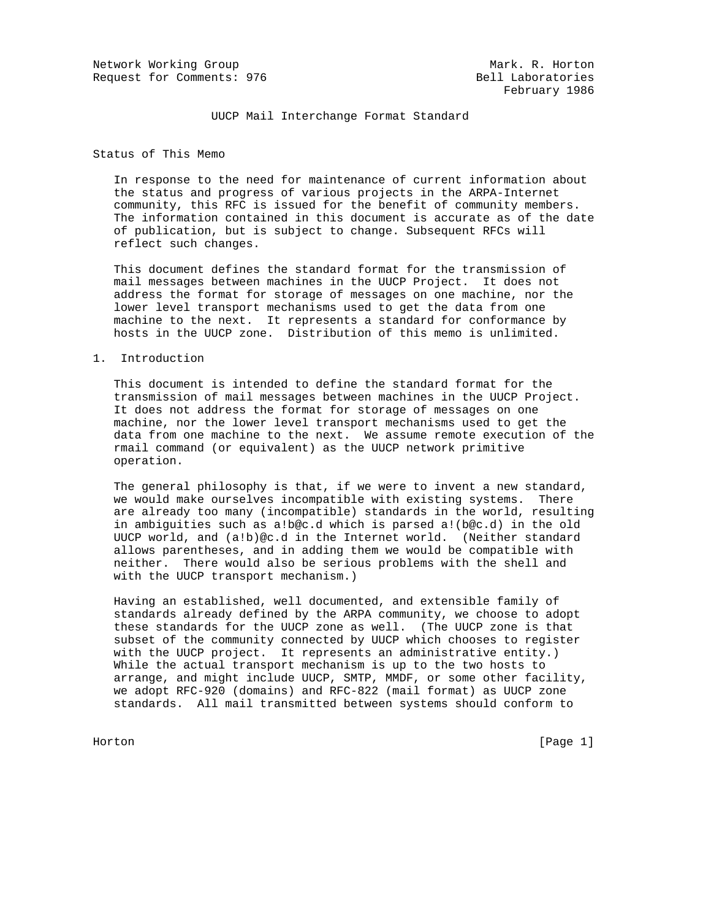Network Working Group Mark. R. Horton Request for Comments: 976 Bell Laboratories

UUCP Mail Interchange Format Standard

Status of This Memo

 In response to the need for maintenance of current information about the status and progress of various projects in the ARPA-Internet community, this RFC is issued for the benefit of community members. The information contained in this document is accurate as of the date of publication, but is subject to change. Subsequent RFCs will reflect such changes.

 This document defines the standard format for the transmission of mail messages between machines in the UUCP Project. It does not address the format for storage of messages on one machine, nor the lower level transport mechanisms used to get the data from one machine to the next. It represents a standard for conformance by hosts in the UUCP zone. Distribution of this memo is unlimited.

### 1. Introduction

 This document is intended to define the standard format for the transmission of mail messages between machines in the UUCP Project. It does not address the format for storage of messages on one machine, nor the lower level transport mechanisms used to get the data from one machine to the next. We assume remote execution of the rmail command (or equivalent) as the UUCP network primitive operation.

 The general philosophy is that, if we were to invent a new standard, we would make ourselves incompatible with existing systems. There are already too many (incompatible) standards in the world, resulting in ambiguities such as a!b@c.d which is parsed a!(b@c.d) in the old UUCP world, and (a!b)@c.d in the Internet world. (Neither standard allows parentheses, and in adding them we would be compatible with neither. There would also be serious problems with the shell and with the UUCP transport mechanism.)

 Having an established, well documented, and extensible family of standards already defined by the ARPA community, we choose to adopt these standards for the UUCP zone as well. (The UUCP zone is that subset of the community connected by UUCP which chooses to register with the UUCP project. It represents an administrative entity.) While the actual transport mechanism is up to the two hosts to arrange, and might include UUCP, SMTP, MMDF, or some other facility, we adopt RFC-920 (domains) and RFC-822 (mail format) as UUCP zone standards. All mail transmitted between systems should conform to

Horton [Page 1]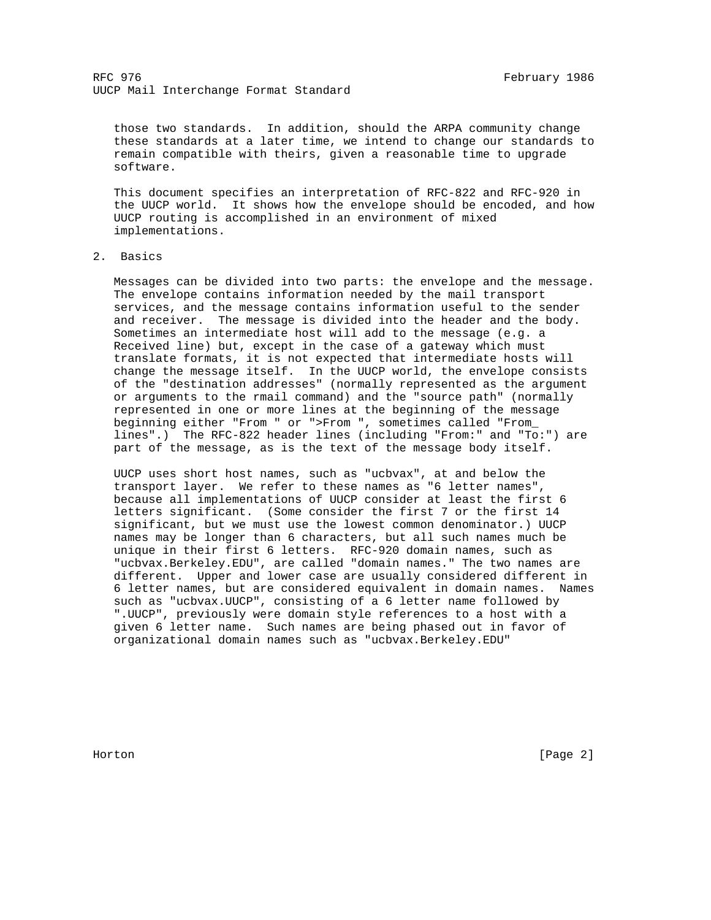those two standards. In addition, should the ARPA community change these standards at a later time, we intend to change our standards to remain compatible with theirs, given a reasonable time to upgrade software.

 This document specifies an interpretation of RFC-822 and RFC-920 in the UUCP world. It shows how the envelope should be encoded, and how UUCP routing is accomplished in an environment of mixed implementations.

2. Basics

 Messages can be divided into two parts: the envelope and the message. The envelope contains information needed by the mail transport services, and the message contains information useful to the sender and receiver. The message is divided into the header and the body. Sometimes an intermediate host will add to the message (e.g. a Received line) but, except in the case of a gateway which must translate formats, it is not expected that intermediate hosts will change the message itself. In the UUCP world, the envelope consists of the "destination addresses" (normally represented as the argument or arguments to the rmail command) and the "source path" (normally represented in one or more lines at the beginning of the message beginning either "From " or ">From ", sometimes called "From\_ lines".) The RFC-822 header lines (including "From:" and "To:") are part of the message, as is the text of the message body itself.

 UUCP uses short host names, such as "ucbvax", at and below the transport layer. We refer to these names as "6 letter names", because all implementations of UUCP consider at least the first 6 letters significant. (Some consider the first 7 or the first 14 significant, but we must use the lowest common denominator.) UUCP names may be longer than 6 characters, but all such names much be unique in their first 6 letters. RFC-920 domain names, such as "ucbvax.Berkeley.EDU", are called "domain names." The two names are different. Upper and lower case are usually considered different in 6 letter names, but are considered equivalent in domain names. Names such as "ucbvax.UUCP", consisting of a 6 letter name followed by ".UUCP", previously were domain style references to a host with a given 6 letter name. Such names are being phased out in favor of organizational domain names such as "ucbvax.Berkeley.EDU"

Horton [Page 2]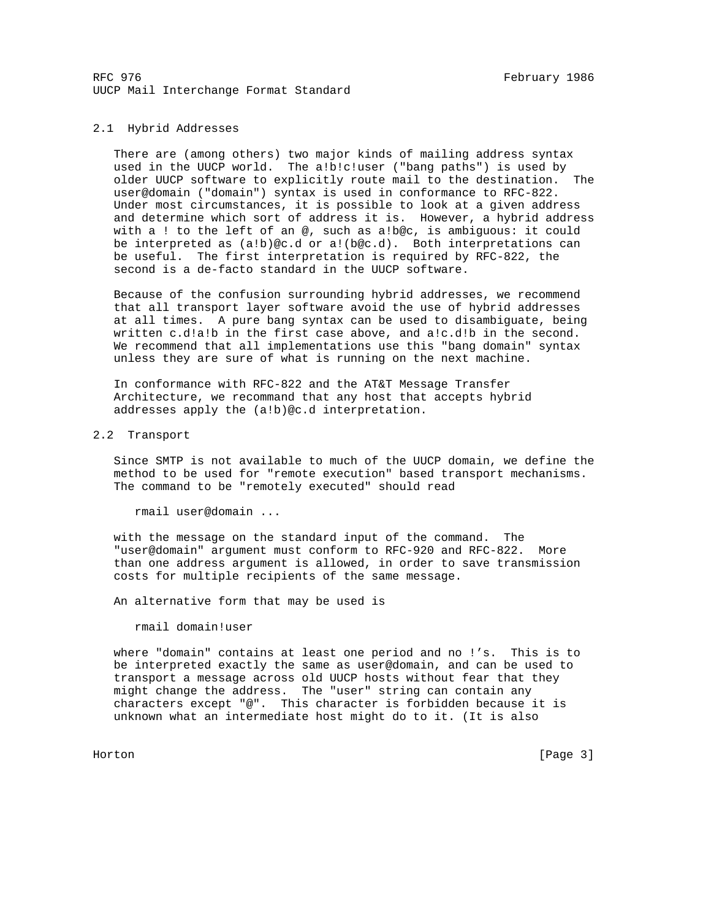## 2.1 Hybrid Addresses

 There are (among others) two major kinds of mailing address syntax used in the UUCP world. The a!b!c!user ("bang paths") is used by older UUCP software to explicitly route mail to the destination. The user@domain ("domain") syntax is used in conformance to RFC-822. Under most circumstances, it is possible to look at a given address and determine which sort of address it is. However, a hybrid address with a ! to the left of an @, such as a!b@c, is ambiguous: it could be interpreted as (a!b)@c.d or a!(b@c.d). Both interpretations can be useful. The first interpretation is required by RFC-822, the second is a de-facto standard in the UUCP software.

 Because of the confusion surrounding hybrid addresses, we recommend that all transport layer software avoid the use of hybrid addresses at all times. A pure bang syntax can be used to disambiguate, being written c.d!a!b in the first case above, and a!c.d!b in the second. We recommend that all implementations use this "bang domain" syntax unless they are sure of what is running on the next machine.

 In conformance with RFC-822 and the AT&T Message Transfer Architecture, we recommand that any host that accepts hybrid addresses apply the (a!b)@c.d interpretation.

# 2.2 Transport

 Since SMTP is not available to much of the UUCP domain, we define the method to be used for "remote execution" based transport mechanisms. The command to be "remotely executed" should read

rmail user@domain ...

 with the message on the standard input of the command. The "user@domain" argument must conform to RFC-920 and RFC-822. More than one address argument is allowed, in order to save transmission costs for multiple recipients of the same message.

An alternative form that may be used is

rmail domain!user

 where "domain" contains at least one period and no !'s. This is to be interpreted exactly the same as user@domain, and can be used to transport a message across old UUCP hosts without fear that they might change the address. The "user" string can contain any characters except "@". This character is forbidden because it is unknown what an intermediate host might do to it. (It is also

Horton [Page 3]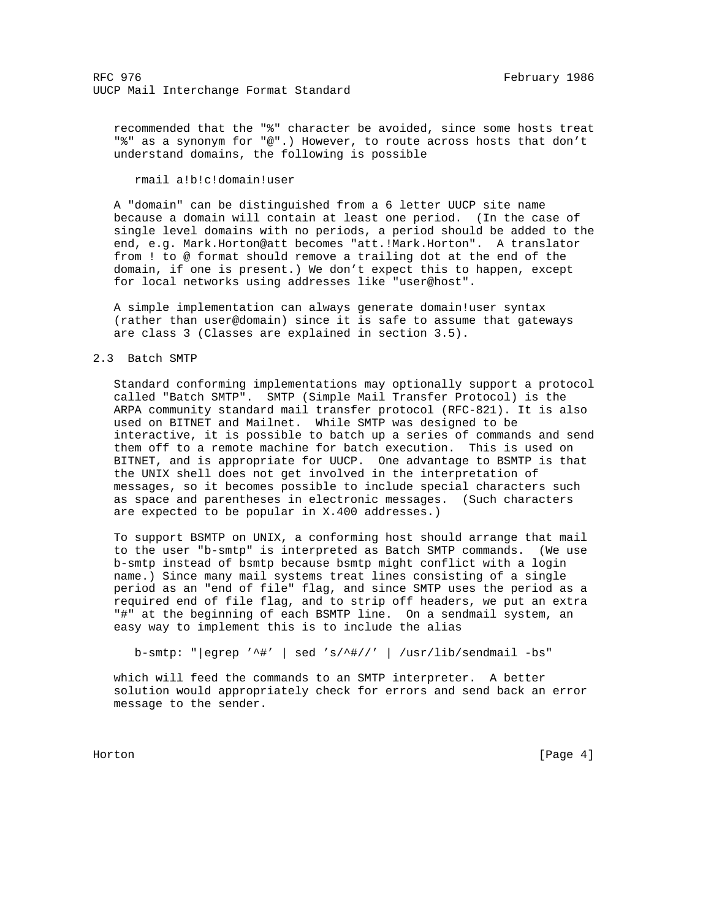recommended that the "%" character be avoided, since some hosts treat "%" as a synonym for "@".) However, to route across hosts that don't understand domains, the following is possible

rmail a!b!c!domain!user

 A "domain" can be distinguished from a 6 letter UUCP site name because a domain will contain at least one period. (In the case of single level domains with no periods, a period should be added to the end, e.g. Mark.Horton@att becomes "att.!Mark.Horton". A translator from ! to @ format should remove a trailing dot at the end of the domain, if one is present.) We don't expect this to happen, except for local networks using addresses like "user@host".

 A simple implementation can always generate domain!user syntax (rather than user@domain) since it is safe to assume that gateways are class 3 (Classes are explained in section 3.5).

### 2.3 Batch SMTP

 Standard conforming implementations may optionally support a protocol called "Batch SMTP". SMTP (Simple Mail Transfer Protocol) is the ARPA community standard mail transfer protocol (RFC-821). It is also used on BITNET and Mailnet. While SMTP was designed to be interactive, it is possible to batch up a series of commands and send them off to a remote machine for batch execution. This is used on BITNET, and is appropriate for UUCP. One advantage to BSMTP is that the UNIX shell does not get involved in the interpretation of messages, so it becomes possible to include special characters such as space and parentheses in electronic messages. (Such characters are expected to be popular in X.400 addresses.)

 To support BSMTP on UNIX, a conforming host should arrange that mail to the user "b-smtp" is interpreted as Batch SMTP commands. (We use b-smtp instead of bsmtp because bsmtp might conflict with a login name.) Since many mail systems treat lines consisting of a single period as an "end of file" flag, and since SMTP uses the period as a required end of file flag, and to strip off headers, we put an extra "#" at the beginning of each BSMTP line. On a sendmail system, an easy way to implement this is to include the alias

b-smtp: "|egrep '^#' | sed 's/^#//' | /usr/lib/sendmail -bs"

 which will feed the commands to an SMTP interpreter. A better solution would appropriately check for errors and send back an error message to the sender.

Horton [Page 4]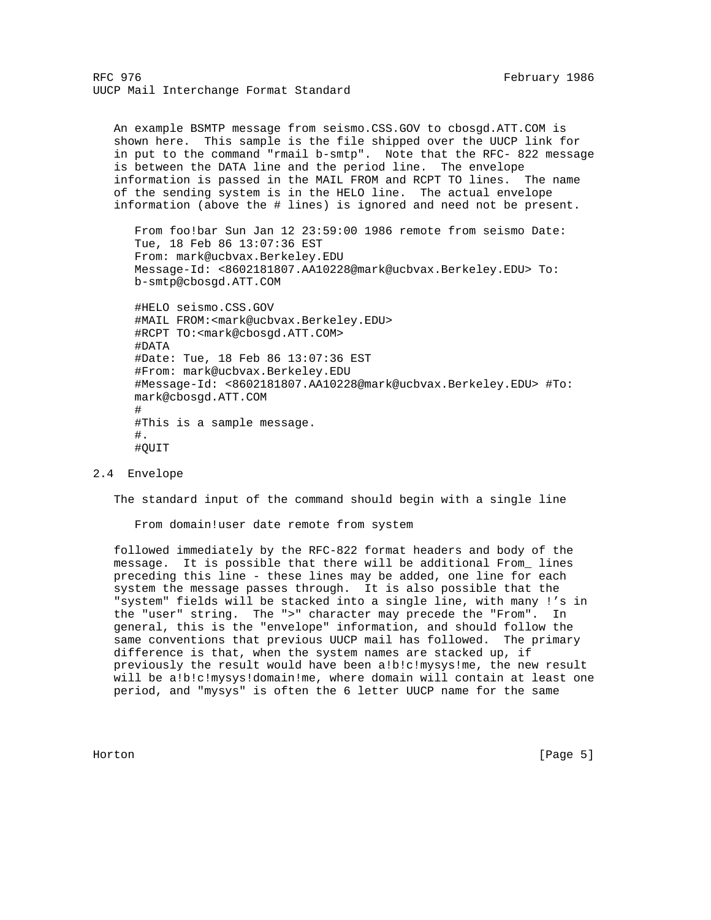An example BSMTP message from seismo.CSS.GOV to cbosgd.ATT.COM is shown here. This sample is the file shipped over the UUCP link for in put to the command "rmail b-smtp". Note that the RFC- 822 message is between the DATA line and the period line. The envelope information is passed in the MAIL FROM and RCPT TO lines. The name of the sending system is in the HELO line. The actual envelope information (above the # lines) is ignored and need not be present. From foo!bar Sun Jan 12 23:59:00 1986 remote from seismo Date: Tue, 18 Feb 86 13:07:36 EST From: mark@ucbvax.Berkeley.EDU

 Message-Id: <8602181807.AA10228@mark@ucbvax.Berkeley.EDU> To: b-smtp@cbosgd.ATT.COM

 #HELO seismo.CSS.GOV #MAIL FROM:<mark@ucbvax.Berkeley.EDU> #RCPT TO:<mark@cbosgd.ATT.COM> #DATA #Date: Tue, 18 Feb 86 13:07:36 EST #From: mark@ucbvax.Berkeley.EDU #Message-Id: <8602181807.AA10228@mark@ucbvax.Berkeley.EDU> #To: mark@cbosgd.ATT.COM # #This is a sample message. #. #QUIT

## 2.4 Envelope

The standard input of the command should begin with a single line

From domain!user date remote from system

 followed immediately by the RFC-822 format headers and body of the message. It is possible that there will be additional From\_ lines preceding this line - these lines may be added, one line for each system the message passes through. It is also possible that the "system" fields will be stacked into a single line, with many !'s in the "user" string. The ">" character may precede the "From". In general, this is the "envelope" information, and should follow the same conventions that previous UUCP mail has followed. The primary difference is that, when the system names are stacked up, if previously the result would have been a!b!c!mysys!me, the new result will be a!b!c!mysys!domain!me, where domain will contain at least one period, and "mysys" is often the 6 letter UUCP name for the same

Horton [Page 5]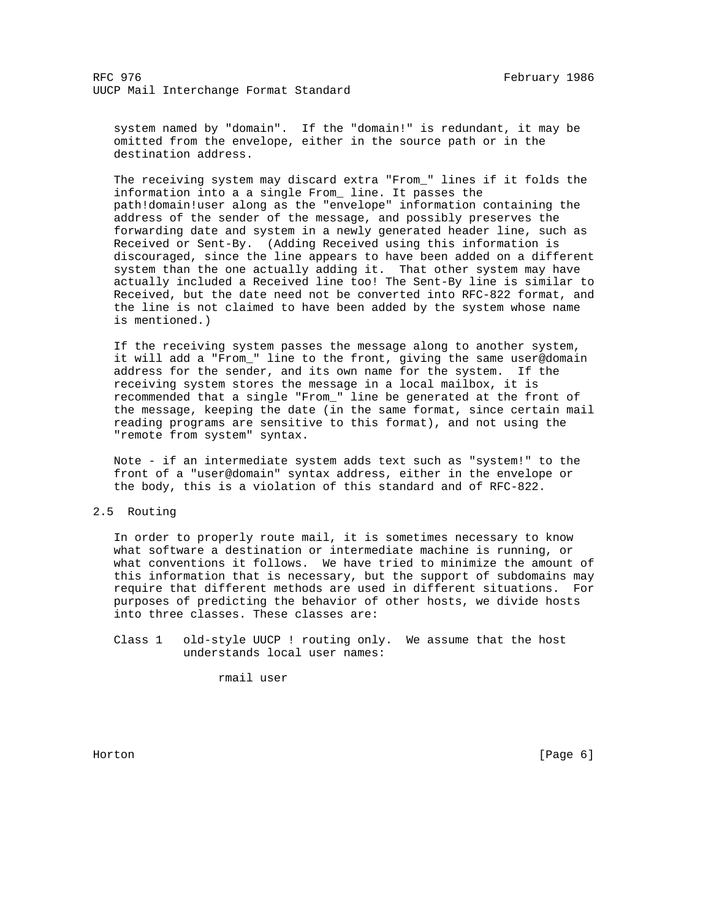system named by "domain". If the "domain!" is redundant, it may be omitted from the envelope, either in the source path or in the destination address.

 The receiving system may discard extra "From\_" lines if it folds the information into a a single From\_ line. It passes the path!domain!user along as the "envelope" information containing the address of the sender of the message, and possibly preserves the forwarding date and system in a newly generated header line, such as Received or Sent-By. (Adding Received using this information is discouraged, since the line appears to have been added on a different system than the one actually adding it. That other system may have actually included a Received line too! The Sent-By line is similar to Received, but the date need not be converted into RFC-822 format, and the line is not claimed to have been added by the system whose name is mentioned.)

 If the receiving system passes the message along to another system, it will add a "From\_" line to the front, giving the same user@domain address for the sender, and its own name for the system. If the receiving system stores the message in a local mailbox, it is recommended that a single "From\_" line be generated at the front of the message, keeping the date (in the same format, since certain mail reading programs are sensitive to this format), and not using the "remote from system" syntax.

 Note - if an intermediate system adds text such as "system!" to the front of a "user@domain" syntax address, either in the envelope or the body, this is a violation of this standard and of RFC-822.

## 2.5 Routing

 In order to properly route mail, it is sometimes necessary to know what software a destination or intermediate machine is running, or what conventions it follows. We have tried to minimize the amount of this information that is necessary, but the support of subdomains may require that different methods are used in different situations. For purposes of predicting the behavior of other hosts, we divide hosts into three classes. These classes are:

 Class 1 old-style UUCP ! routing only. We assume that the host understands local user names:

rmail user

Horton [Page 6]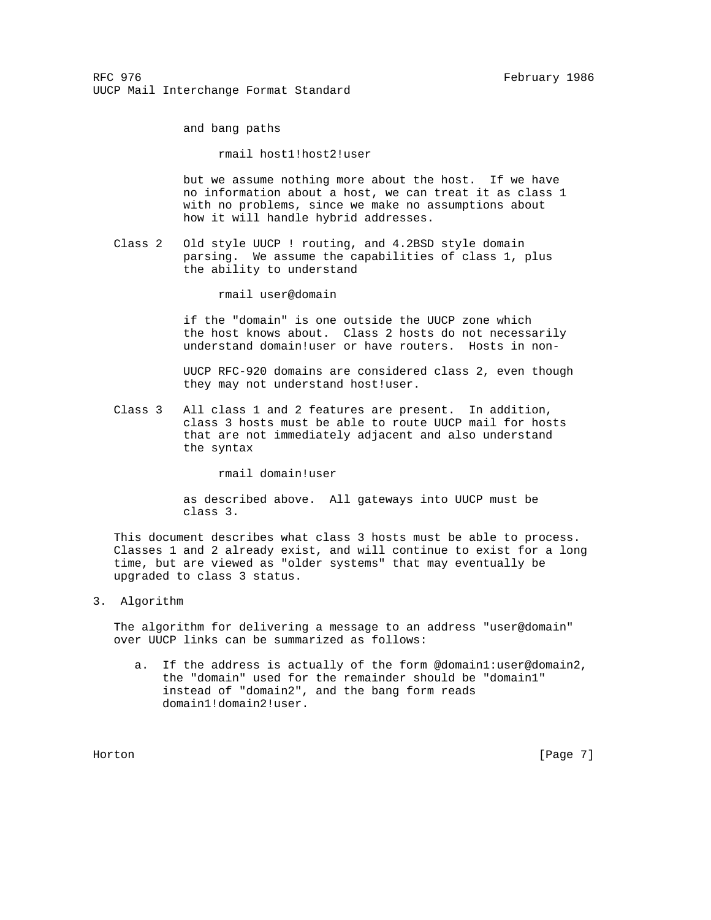and bang paths

rmail host1!host2!user

 but we assume nothing more about the host. If we have no information about a host, we can treat it as class 1 with no problems, since we make no assumptions about how it will handle hybrid addresses.

 Class 2 Old style UUCP ! routing, and 4.2BSD style domain parsing. We assume the capabilities of class 1, plus the ability to understand

rmail user@domain

 if the "domain" is one outside the UUCP zone which the host knows about. Class 2 hosts do not necessarily understand domain!user or have routers. Hosts in non-

 UUCP RFC-920 domains are considered class 2, even though they may not understand host!user.

 Class 3 All class 1 and 2 features are present. In addition, class 3 hosts must be able to route UUCP mail for hosts that are not immediately adjacent and also understand the syntax

rmail domain!user

 as described above. All gateways into UUCP must be class 3.

 This document describes what class 3 hosts must be able to process. Classes 1 and 2 already exist, and will continue to exist for a long time, but are viewed as "older systems" that may eventually be upgraded to class 3 status.

3. Algorithm

 The algorithm for delivering a message to an address "user@domain" over UUCP links can be summarized as follows:

 a. If the address is actually of the form @domain1:user@domain2, the "domain" used for the remainder should be "domain1" instead of "domain2", and the bang form reads domain1!domain2!user.

Horton [Page 7]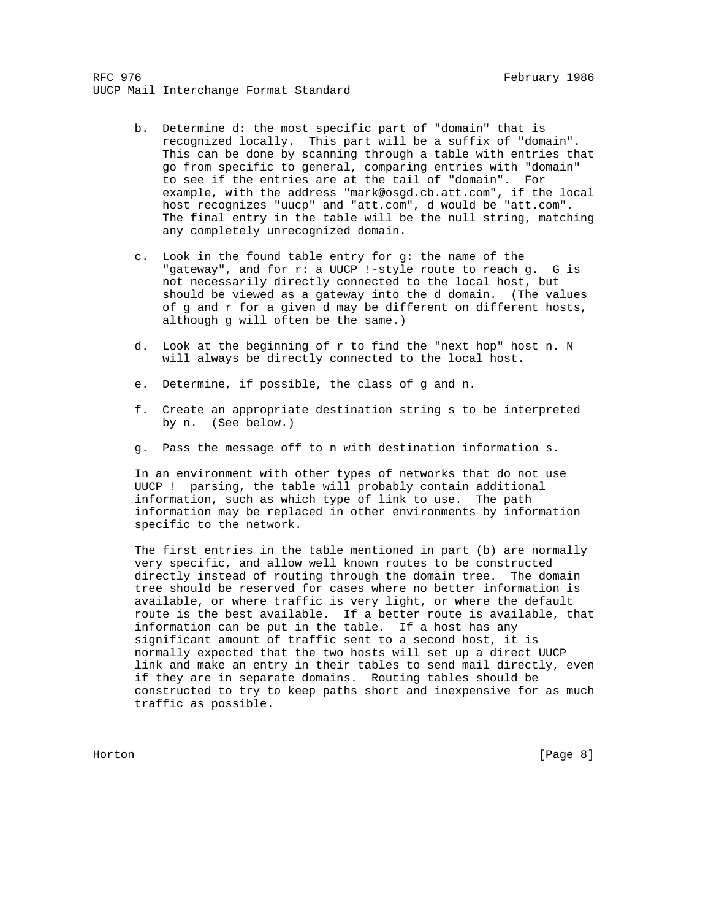- b. Determine d: the most specific part of "domain" that is recognized locally. This part will be a suffix of "domain". This can be done by scanning through a table with entries that go from specific to general, comparing entries with "domain" to see if the entries are at the tail of "domain". For example, with the address "mark@osgd.cb.att.com", if the local host recognizes "uucp" and "att.com", d would be "att.com". The final entry in the table will be the null string, matching any completely unrecognized domain.
- c. Look in the found table entry for g: the name of the "gateway", and for r: a UUCP !-style route to reach g. G is not necessarily directly connected to the local host, but should be viewed as a gateway into the d domain. (The values of g and r for a given d may be different on different hosts, although g will often be the same.)
- d. Look at the beginning of r to find the "next hop" host n. N will always be directly connected to the local host.
- e. Determine, if possible, the class of g and n.
- f. Create an appropriate destination string s to be interpreted by n. (See below.)
- g. Pass the message off to n with destination information s.

 In an environment with other types of networks that do not use UUCP ! parsing, the table will probably contain additional information, such as which type of link to use. The path information may be replaced in other environments by information specific to the network.

 The first entries in the table mentioned in part (b) are normally very specific, and allow well known routes to be constructed directly instead of routing through the domain tree. The domain tree should be reserved for cases where no better information is available, or where traffic is very light, or where the default route is the best available. If a better route is available, that information can be put in the table. If a host has any significant amount of traffic sent to a second host, it is normally expected that the two hosts will set up a direct UUCP link and make an entry in their tables to send mail directly, even if they are in separate domains. Routing tables should be constructed to try to keep paths short and inexpensive for as much traffic as possible.

Horton [Page 8]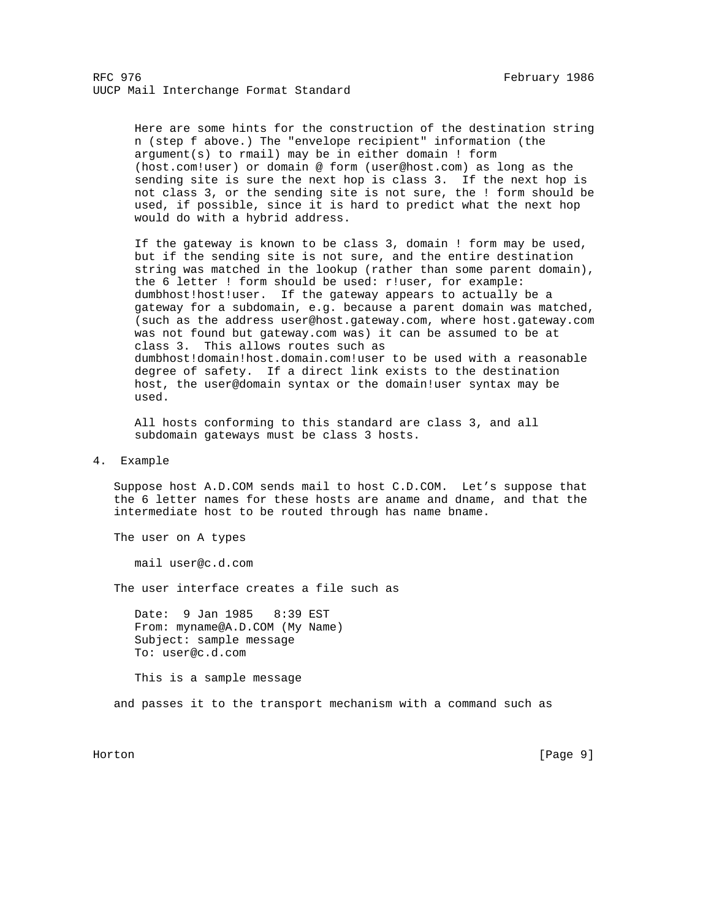Here are some hints for the construction of the destination string n (step f above.) The "envelope recipient" information (the argument(s) to rmail) may be in either domain ! form (host.com!user) or domain @ form (user@host.com) as long as the sending site is sure the next hop is class 3. If the next hop is not class 3, or the sending site is not sure, the ! form should be used, if possible, since it is hard to predict what the next hop would do with a hybrid address.

 If the gateway is known to be class 3, domain ! form may be used, but if the sending site is not sure, and the entire destination string was matched in the lookup (rather than some parent domain), the 6 letter ! form should be used: r!user, for example: dumbhost!host!user. If the gateway appears to actually be a gateway for a subdomain, e.g. because a parent domain was matched, (such as the address user@host.gateway.com, where host.gateway.com was not found but gateway.com was) it can be assumed to be at class 3. This allows routes such as dumbhost!domain!host.domain.com!user to be used with a reasonable degree of safety. If a direct link exists to the destination host, the user@domain syntax or the domain!user syntax may be used.

 All hosts conforming to this standard are class 3, and all subdomain gateways must be class 3 hosts.

#### 4. Example

 Suppose host A.D.COM sends mail to host C.D.COM. Let's suppose that the 6 letter names for these hosts are aname and dname, and that the intermediate host to be routed through has name bname.

The user on A types

mail user@c.d.com

The user interface creates a file such as

 Date: 9 Jan 1985 8:39 EST From: myname@A.D.COM (My Name) Subject: sample message To: user@c.d.com

This is a sample message

and passes it to the transport mechanism with a command such as

Horton [Page 9]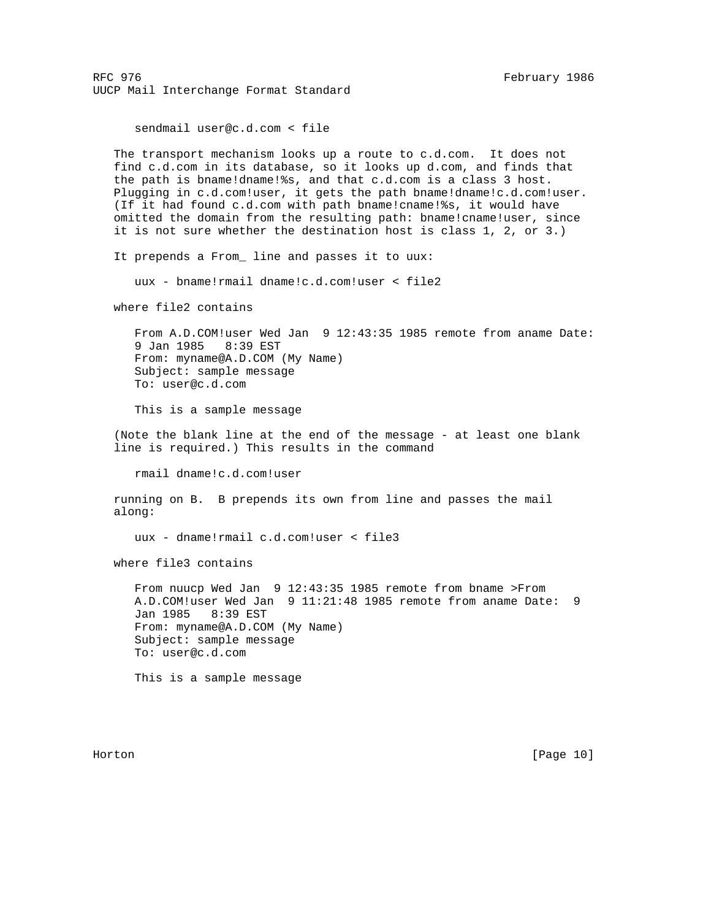sendmail user@c.d.com < file

 The transport mechanism looks up a route to c.d.com. It does not find c.d.com in its database, so it looks up d.com, and finds that the path is bname!dname!%s, and that c.d.com is a class 3 host. Plugging in c.d.com!user, it gets the path bname!dname!c.d.com!user. (If it had found c.d.com with path bname!cname!%s, it would have omitted the domain from the resulting path: bname!cname!user, since it is not sure whether the destination host is class 1, 2, or 3.)

It prepends a From\_ line and passes it to uux:

uux - bname!rmail dname!c.d.com!user < file2

where file2 contains

 From A.D.COM!user Wed Jan 9 12:43:35 1985 remote from aname Date: 9 Jan 1985 8:39 EST From: myname@A.D.COM (My Name) Subject: sample message To: user@c.d.com

This is a sample message

 (Note the blank line at the end of the message - at least one blank line is required.) This results in the command

rmail dname!c.d.com!user

 running on B. B prepends its own from line and passes the mail along:

uux - dname!rmail c.d.com!user < file3

where file3 contains

 From nuucp Wed Jan 9 12:43:35 1985 remote from bname >From A.D.COM!user Wed Jan 9 11:21:48 1985 remote from aname Date: 9 Jan 1985 8:39 EST From: myname@A.D.COM (My Name) Subject: sample message To: user@c.d.com

This is a sample message

Horton [Page 10]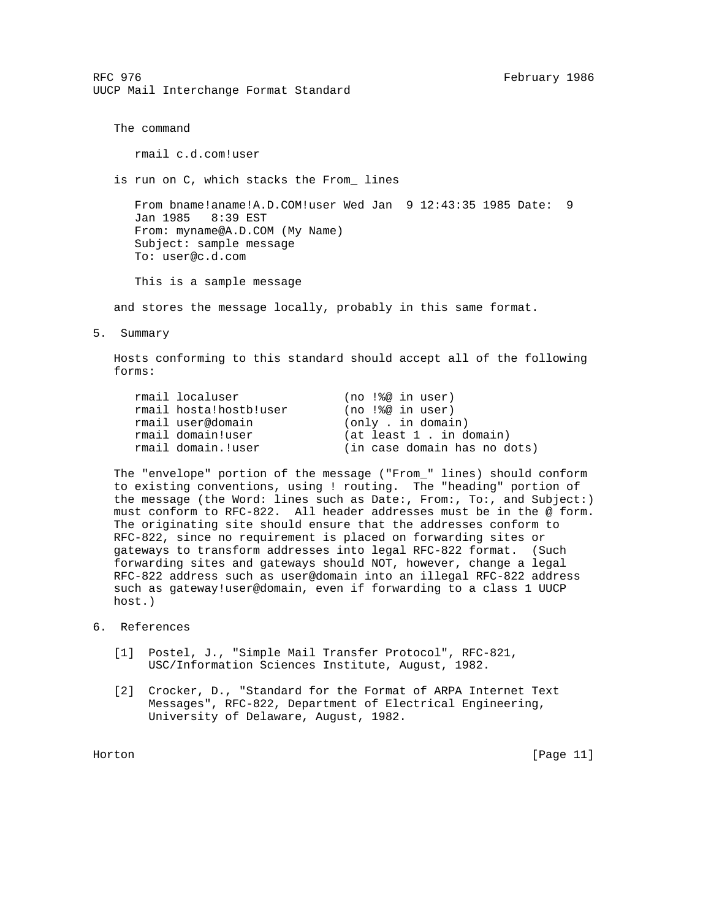The command

rmail c.d.com!user

is run on C, which stacks the From\_ lines

 From bname!aname!A.D.COM!user Wed Jan 9 12:43:35 1985 Date: 9 Jan 1985 8:39 EST From: myname@A.D.COM (My Name) Subject: sample message To: user@c.d.com

This is a sample message

and stores the message locally, probably in this same format.

5. Summary

 Hosts conforming to this standard should accept all of the following forms:

| rmail localuser        | (no !%@ in user)             |
|------------------------|------------------------------|
| rmail hosta!hostb!user | $(no$ $\frac{1}{6}$ in user) |
| rmail user@domain      | (only, in domain)            |
| rmail domain!user      | (at least 1, in domain)      |
| rmail domain.!user     | (in case domain has no dots) |

 The "envelope" portion of the message ("From\_" lines) should conform to existing conventions, using ! routing. The "heading" portion of the message (the Word: lines such as Date:, From:, To:, and Subject:) must conform to RFC-822. All header addresses must be in the @ form. The originating site should ensure that the addresses conform to RFC-822, since no requirement is placed on forwarding sites or gateways to transform addresses into legal RFC-822 format. (Such forwarding sites and gateways should NOT, however, change a legal RFC-822 address such as user@domain into an illegal RFC-822 address such as gateway!user@domain, even if forwarding to a class 1 UUCP host.)

## 6. References

- [1] Postel, J., "Simple Mail Transfer Protocol", RFC-821, USC/Information Sciences Institute, August, 1982.
- [2] Crocker, D., "Standard for the Format of ARPA Internet Text Messages", RFC-822, Department of Electrical Engineering, University of Delaware, August, 1982.

Horton [Page 11]